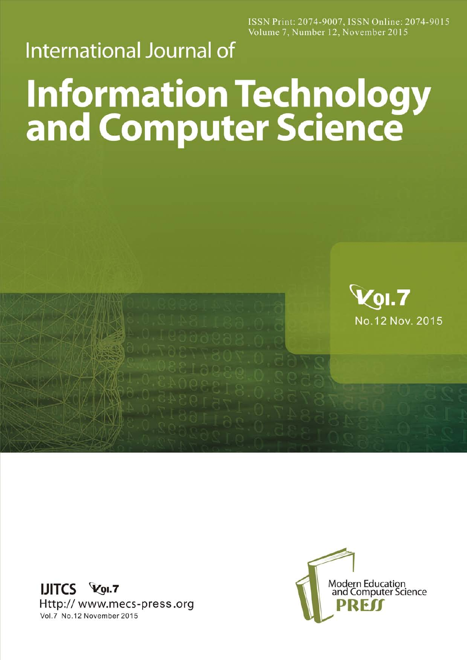ISSN Print: 2074-9007, ISSN Online: 2074-9015 Volume 7, Number 12, November 2015

## **International Journal of**

## **Information Technology<br>and Computer Science**



**IJITCS Vol.7** Http://www.mecs-press.org Vol.7 No.12 November 2015